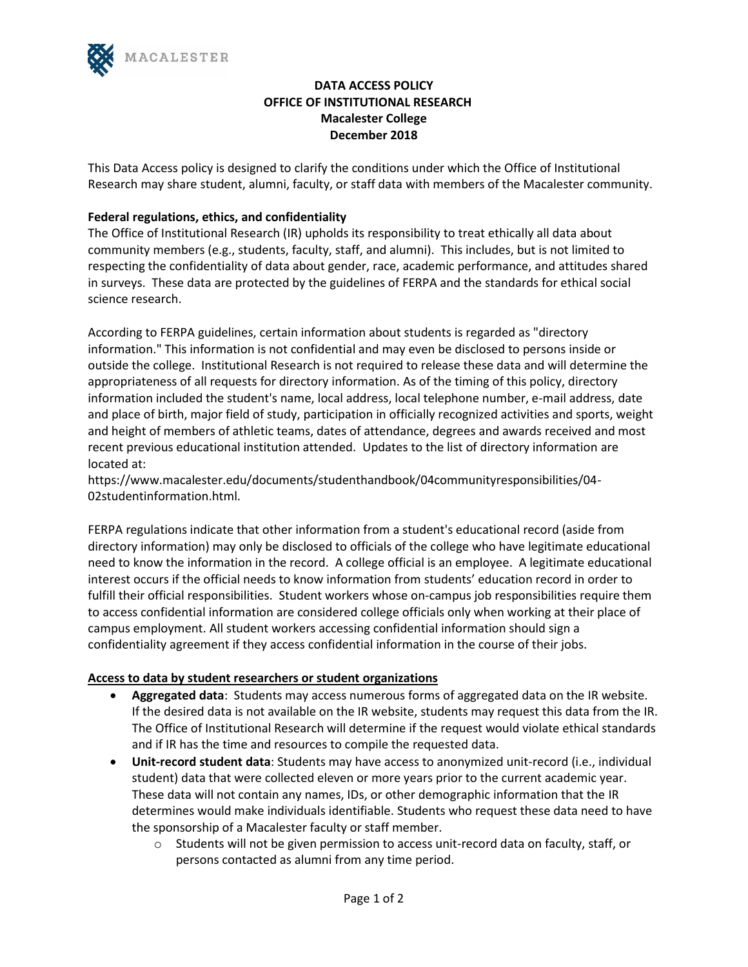

# **DATA ACCESS POLICY OFFICE OF INSTITUTIONAL RESEARCH Macalester College December 2018**

This Data Access policy is designed to clarify the conditions under which the Office of Institutional Research may share student, alumni, faculty, or staff data with members of the Macalester community.

## **Federal regulations, ethics, and confidentiality**

The Office of Institutional Research (IR) upholds its responsibility to treat ethically all data about community members (e.g., students, faculty, staff, and alumni). This includes, but is not limited to respecting the confidentiality of data about gender, race, academic performance, and attitudes shared in surveys. These data are protected by the guidelines of FERPA and the standards for ethical social science research.

According to FERPA guidelines, certain information about students is regarded as "directory information." This information is not confidential and may even be disclosed to persons inside or outside the college. Institutional Research is not required to release these data and will determine the appropriateness of all requests for directory information. As of the timing of this policy, directory information included the student's name, local address, local telephone number, e-mail address, date and place of birth, major field of study, participation in officially recognized activities and sports, weight and height of members of athletic teams, dates of attendance, degrees and awards received and most recent previous educational institution attended. Updates to the list of directory information are located at:

https://www.macalester.edu/documents/studenthandbook/04communityresponsibilities/04- 02studentinformation.html.

FERPA regulations indicate that other information from a student's educational record (aside from directory information) may only be disclosed to officials of the college who have legitimate educational need to know the information in the record. A college official is an employee. A legitimate educational interest occurs if the official needs to know information from students' education record in order to fulfill their official responsibilities. Student workers whose on-campus job responsibilities require them to access confidential information are considered college officials only when working at their place of campus employment. All student workers accessing confidential information should sign a confidentiality agreement if they access confidential information in the course of their jobs.

### **Access to data by student researchers or student organizations**

- **Aggregated data**: Students may access numerous forms of aggregated data on the IR website. If the desired data is not available on the IR website, students may request this data from the IR. The Office of Institutional Research will determine if the request would violate ethical standards and if IR has the time and resources to compile the requested data.
- **Unit-record student data**: Students may have access to anonymized unit-record (i.e., individual student) data that were collected eleven or more years prior to the current academic year. These data will not contain any names, IDs, or other demographic information that the IR determines would make individuals identifiable. Students who request these data need to have the sponsorship of a Macalester faculty or staff member.
	- $\circ$  Students will not be given permission to access unit-record data on faculty, staff, or persons contacted as alumni from any time period.